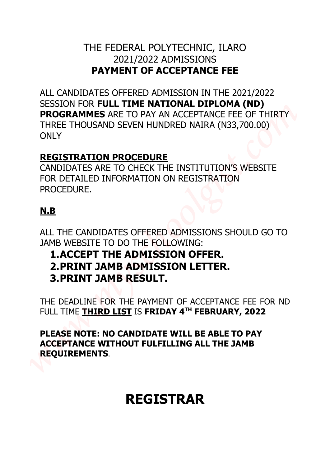## THE FEDERAL POLYTECHNIC, ILARO 2021/2022 ADMISSIONS **PAYMENT OF ACCEPTANCE FEE**

ALL CANDIDATES OFFERED ADMISSION IN THE 2021/2022 SESSION FOR **FULL TIME NATIONAL DIPLOMA (ND) PROGRAMMES** ARE TO PAY AN ACCEPTANCE FEE OF THIRTY THREE THOUSAND SEVEN HUNDRED NAIRA (N33,700.00) ONLY THE FEDERAL POLYTECHNIC, ILARO<br> **RAYMENT OF ACCEPTANCE FEE**<br>
ALL CANDIDATES OFFERED ADMISSION IN THE 2021/2022<br>
SESSION FOR FULL TIME NATIONAL DIPLOMAL (N33,700.00)<br> **PROGRAMMES ARE TO PAY AN ACCEPTANCE FEE OF THRTY**<br>
THRE

## **REGISTRATION PROCEDURE**

CANDIDATES ARE TO CHECK THE INSTITUTION'S WEBSITE FOR DETAILED INFORMATION ON REGISTRATION PROCEDURE.

## **N.B**

ALL THE CANDIDATES OFFERED ADMISSIONS SHOULD GO TO JAMB WEBSITE TO DO THE FOLLOWING:

## **1.ACCEPT THE ADMISSION OFFER. 2.PRINT JAMB ADMISSION LETTER. 3.PRINT JAMB RESULT.**

THE DEADLINE FOR THE PAYMENT OF ACCEPTANCE FEE FOR ND FULL TIME **THIRD LIST** IS **FRIDAY 4 TH FEBRUARY, 2022**

**PLEASE NOTE: NO CANDIDATE WILL BE ABLE TO PAY ACCEPTANCE WITHOUT FULFILLING ALL THE JAMB REQUIREMENTS**.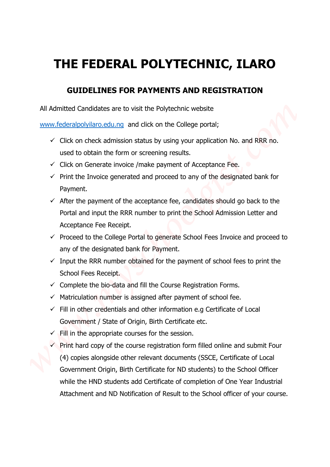## **THE FEDERAL POLYTECHNIC, ILARO**

## **GUIDELINES FOR PAYMENTS AND REGISTRATION**

All Admitted Candidates are to visit the Polytechnic website

www.federalpolyilaro.edu.ng and click on the College portal;

- $\checkmark$  Click on check admission status by using your application No. and RRR no. used to obtain the form or screening results.
- $\checkmark$  Click on Generate invoice /make payment of Acceptance Fee.
- $\checkmark$  Print the Invoice generated and proceed to any of the designated bank for Payment.
- $\checkmark$  After the payment of the acceptance fee, candidates should go back to the Portal and input the RRR number to print the School Admission Letter and Acceptance Fee Receipt.
- $\checkmark$  Proceed to the College Portal to generate School Fees Invoice and proceed to any of the designated bank for Payment.
- $\checkmark$  Input the RRR number obtained for the payment of school fees to print the School Fees Receipt.
- $\checkmark$  Complete the bio-data and fill the Course Registration Forms.
- $\checkmark$  Matriculation number is assigned after payment of school fee.
- $\checkmark$  Fill in other credentials and other information e.g Certificate of Local Government / State of Origin, Birth Certificate etc.
- $\checkmark$  Fill in the appropriate courses for the session.
- $\checkmark$  Print hard copy of the course registration form filled online and submit Four (4) copies alongside other relevant documents (SSCE, Certificate of Local Government Origin, Birth Certificate for ND students) to the School Officer while the HND students add Certificate of completion of One Year Industrial **THE FEDERAL POLYTECHNIC, ILARO**<br> **GUIDELINES FOR PAYMENTS AND REGISTRATION**<br>
All Admitted Candidates are to visit the Polytechnic website<br>
www.federabodistan.edu.na and clock on the College portal;<br>
Click on check admissi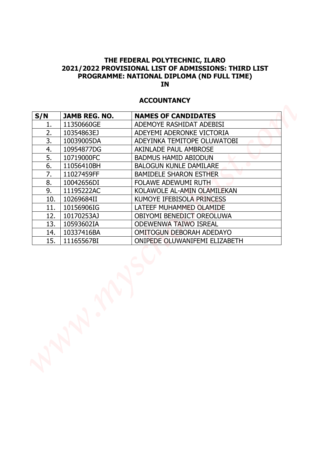### **ACCOUNTANCY**

|          |                          | <b>ACCOUNTANCY</b>                                          |
|----------|--------------------------|-------------------------------------------------------------|
| S/N      | <b>JAMB REG. NO.</b>     | <b>NAMES OF CANDIDATES</b>                                  |
| 1.       | 11350660GE               | ADEMOYE RASHIDAT ADEBISI                                    |
| 2.<br>3. | 10354863EJ               | ADEYEMI ADERONKE VICTORIA                                   |
| 4.       | 10039005DA<br>10954877DG | ADEYINKA TEMITOPE OLUWATOBI<br><b>AKINLADE PAUL AMBROSE</b> |
| 5.       | 10719000FC               | <b>BADMUS HAMID ABIODUN</b>                                 |
| 6.       | 11056410BH               | <b>BALOGUN KUNLE DAMILARE</b>                               |
| 7.       | 11027459FF               | <b>BAMIDELE SHARON ESTHER</b>                               |
| 8.       | 10042656DI               | <b>FOLAWE ADEWUMI RUTH</b>                                  |
| 9.       | 11195222AC               | KOLAWOLE AL-AMIN OLAMILEKAN                                 |
| 10.      | 10269684II               | KUMOYE IFEBISOLA PRINCESS                                   |
| 11.      | 10156906IG               | LATEEF MUHAMMED OLAMIDE                                     |
| 12.      | 10170253AJ               | <b>OBIYOMI BENEDICT OREOLUWA</b>                            |
| 13.      | 10593602IA               | <b>ODEWENWA TAIWO ISREAL</b>                                |
| 14.      | 10337416BA               | <b>OMITOGUN DEBORAH ADEDAYO</b>                             |
| 15.      | 11165567BI               | <b>ONIPEDE OLUWANIFEMI ELIZABETH</b>                        |
|          |                          |                                                             |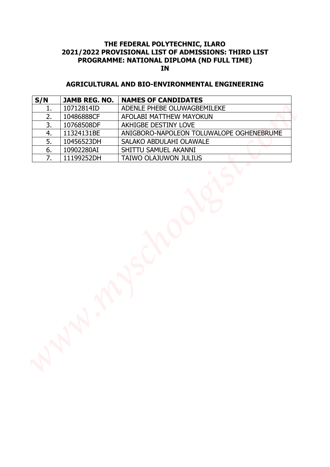### **AGRICULTURAL AND BIO-ENVIRONMENTAL ENGINEERING**

| 2.<br>10486888CF<br>AFOLABI MATTHEW MAYOKUN<br>3.<br>AKHIGBE DESTINY LOVE<br>10768508DF<br>11324131BE<br>ANIGBORO-NAPOLEON TOLUWALOPE OGHENEBRUME<br>4.<br>5.<br>10456523DH<br>SALAKO ABDULAHI OLAWALE<br>6.<br>10902280AI<br>SHITTU SAMUEL AKANNI<br>7.<br>11199252DH<br>TAIWO OLAJUWON JULIUS | S/N | <b>JAMB REG. NO.</b> | <b>NAMES OF CANDIDATES</b>  |
|-------------------------------------------------------------------------------------------------------------------------------------------------------------------------------------------------------------------------------------------------------------------------------------------------|-----|----------------------|-----------------------------|
|                                                                                                                                                                                                                                                                                                 | 1.  | 10712814ID           | ADENLE PHEBE OLUWAGBEMILEKE |
|                                                                                                                                                                                                                                                                                                 |     |                      |                             |
|                                                                                                                                                                                                                                                                                                 |     |                      |                             |
|                                                                                                                                                                                                                                                                                                 |     |                      |                             |
|                                                                                                                                                                                                                                                                                                 |     |                      |                             |
|                                                                                                                                                                                                                                                                                                 |     |                      |                             |
|                                                                                                                                                                                                                                                                                                 |     |                      |                             |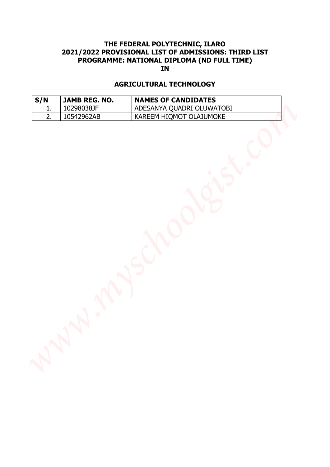# **THE FEDERAL POLYTECHNIC, ILARO 2021/2022 PROVISIONAL LIST OF ADMISSIONS: THIRD LIST PROGRAMME: NATIONAL DIPLOMA (ND FULL TIME) IN EXECUTE ANTIONAL LIST OF ADMISSIONS: THERE LIST<br>PROGRAMME: NATIONAL LIST OF ADMISSIONS: THERE LIST<br>
<b>AGRICULTURAL TECHNOLOGY**<br> **AGRICULTURAL TECHNOLOGY**<br> **AGRICULTURAL TECHNOLOGY**<br>
<u>AGRICULTURAL TECHNOLOGY<br>
2. 10542962AB </u>

### **AGRICULTURAL TECHNOLOGY**

| S/N | JAMB REG. NO. | <b>NAMES OF CANDIDATES</b>  |
|-----|---------------|-----------------------------|
|     | 10298038JF    | ' ADESANYA QUADRI OLUWATOBI |
|     | 10542962AB    | KAREEM HIQMOT OLAJUMOKE     |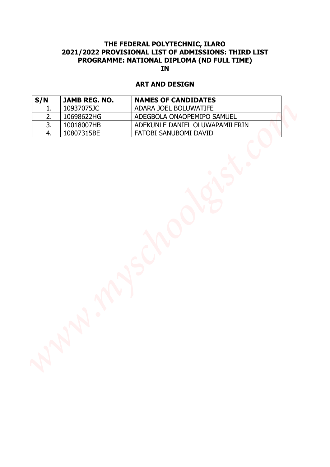### **ART AND DESIGN**

|     |               | <b>ART AND DESIGN</b>          |  |
|-----|---------------|--------------------------------|--|
| S/N | JAMB REG. NO. | <b>NAMES OF CANDIDATES</b>     |  |
| 1.  | 10937075JC    | ADARA JOEL BOLUWATIFE          |  |
| 2.  | 10698622HG    | ADEGBOLA ONAOPEMIPO SAMUEL     |  |
| 3.  | 10018007HB    | ADEKUNLE DANIEL OLUWAPAMILERIN |  |
| 4.  | 10807315BE    | FATOBI SANUBOMI DAVID          |  |
|     |               |                                |  |
|     |               | $\mathsf{S}$                   |  |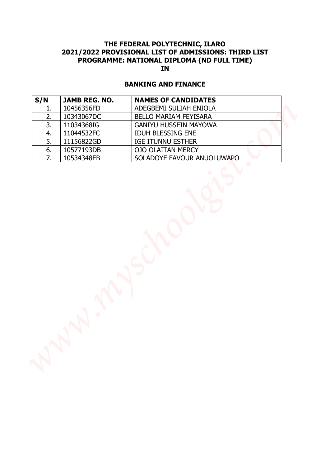### **BANKING AND FINANCE**

| 1.<br>2.<br>10343067DC<br>BELLO MARIAM FEYISARA<br>3.<br>11034368IG<br><b>GANIYU HUSSEIN MAYOWA</b><br>IDUH BLESSING ENE<br>4.<br>11044532FC<br>5.<br>11156822GD<br><b>IGE ITUNNU ESTHER</b><br>6.<br>10577193DB<br><b>OJO OLAITAN MERCY</b><br>7.<br>10534348EB<br>SOLADOYE FAVOUR ANUOLUWAPO | S/N | JAMB REG. NO. | <b>NAMES OF CANDIDATES</b> |  |
|------------------------------------------------------------------------------------------------------------------------------------------------------------------------------------------------------------------------------------------------------------------------------------------------|-----|---------------|----------------------------|--|
|                                                                                                                                                                                                                                                                                                |     | 10456356FD    | ADEGBEMI SULIAH ENIOLA     |  |
|                                                                                                                                                                                                                                                                                                |     |               |                            |  |
|                                                                                                                                                                                                                                                                                                |     |               |                            |  |
|                                                                                                                                                                                                                                                                                                |     |               |                            |  |
|                                                                                                                                                                                                                                                                                                |     |               |                            |  |
|                                                                                                                                                                                                                                                                                                |     |               |                            |  |
|                                                                                                                                                                                                                                                                                                |     |               |                            |  |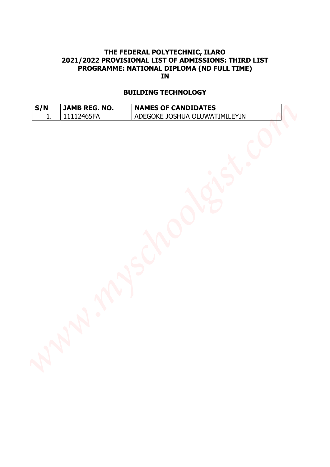### **BUILDING TECHNOLOGY**

| S/N | <b>JAMB REG. NO.</b> | <b>NAMES OF CANDIDATES</b>    |
|-----|----------------------|-------------------------------|
|     | 11112465FA           | ADEGOKE JOSHUA OLUWATIMILEYIN |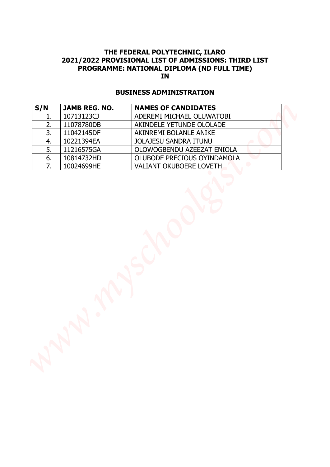### **BUSINESS ADMINISTRATION**

| ADEREMI MICHAEL OLUWATOBI<br>1.<br>2.<br>11078780DB<br>AKINDELE YETUNDE OLOLADE<br>3.<br>11042145DF<br>AKINREMI BOLANLE ANIKE<br>4.<br>10221394EA<br><b>JOLAJESU SANDRA ITUNU</b><br>5.<br>11216575GA<br>OLOWOGBENDU AZEEZAT ENIOLA<br>6.<br>OLUBODE PRECIOUS OYINDAMOLA<br>10814732HD<br>7.<br>VALIANT OKUBOERE LOVETH<br>10024699HE | S/N | <b>JAMB REG. NO.</b> | <b>NAMES OF CANDIDATES</b> |
|---------------------------------------------------------------------------------------------------------------------------------------------------------------------------------------------------------------------------------------------------------------------------------------------------------------------------------------|-----|----------------------|----------------------------|
|                                                                                                                                                                                                                                                                                                                                       |     | 10713123CJ           |                            |
|                                                                                                                                                                                                                                                                                                                                       |     |                      |                            |
|                                                                                                                                                                                                                                                                                                                                       |     |                      |                            |
|                                                                                                                                                                                                                                                                                                                                       |     |                      |                            |
|                                                                                                                                                                                                                                                                                                                                       |     |                      |                            |
|                                                                                                                                                                                                                                                                                                                                       |     |                      |                            |
|                                                                                                                                                                                                                                                                                                                                       |     |                      |                            |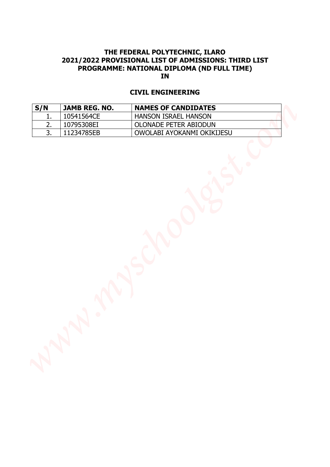### **CIVIL ENGINEERING**

|          |                          | <b>IN</b>                                     |  |
|----------|--------------------------|-----------------------------------------------|--|
|          |                          | <b>CIVIL ENGINEERING</b>                      |  |
| S/N      | JAMB REG. NO.            | <b>NAMES OF CANDIDATES</b>                    |  |
| 1.<br>2. | 10541564CE<br>10795308EI | HANSON ISRAEL HANSON<br>OLONADE PETER ABIODUN |  |
| 3.       | 11234785EB               | OWOLABI AYOKANMI OKIKIJESU                    |  |
|          |                          | ANYSY                                         |  |
|          |                          |                                               |  |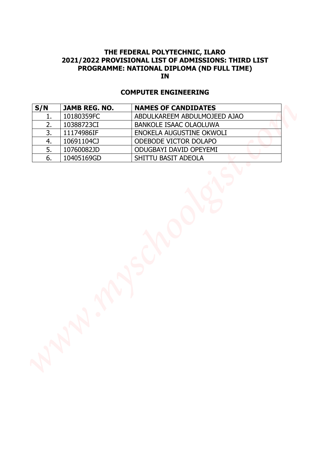### **COMPUTER ENGINEERING**

| JAMB REG. NO.<br>10180359FC<br>10388723CI<br>11174986IF<br>10691104CJ<br>10760082JD<br>10405169GD | <b>NAMES OF CANDIDATES</b><br>ABDULKAREEM ABDULMOJEED AJAO<br>BANKOLE ISAAC OLAOLUWA<br>ENOKELA AUGUSTINE OKWOLI<br>ODEBODE VICTOR DOLAPO<br>ODUGBAYI DAVID OPEYEMI<br>SHITTU BASIT ADEOLA |
|---------------------------------------------------------------------------------------------------|--------------------------------------------------------------------------------------------------------------------------------------------------------------------------------------------|
|                                                                                                   |                                                                                                                                                                                            |
|                                                                                                   |                                                                                                                                                                                            |
|                                                                                                   |                                                                                                                                                                                            |
|                                                                                                   |                                                                                                                                                                                            |
|                                                                                                   |                                                                                                                                                                                            |
|                                                                                                   |                                                                                                                                                                                            |
|                                                                                                   | $\mathbb{S}$                                                                                                                                                                               |
|                                                                                                   | $\mathcal{N}$                                                                                                                                                                              |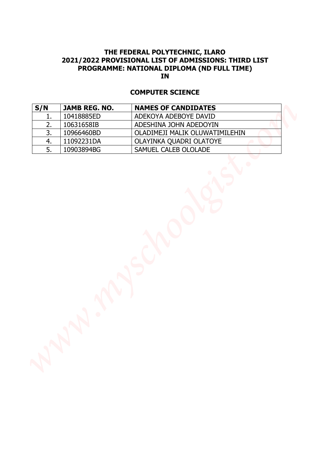### **COMPUTER SCIENCE**

|          |                          | <b>COMPUTER SCIENCE</b>                         |  |
|----------|--------------------------|-------------------------------------------------|--|
| S/N      | JAMB REG. NO.            | <b>NAMES OF CANDIDATES</b>                      |  |
| 1.       | 10418885ED               | ADEKOYA ADEBOYE DAVID                           |  |
| 2.       | 10631658IB               | ADESHINA JOHN ADEDOYIN                          |  |
| 3.       | 10966460BD               | OLADIMEJI MALIK OLUWATIMILEHIN                  |  |
| 4.<br>5. | 11092231DA<br>10903894BG | OLAYINKA QUADRI OLATOYE<br>SAMUEL CALEB OLOLADE |  |
|          |                          |                                                 |  |
|          | <b>M</b>                 | $\mathbb{S}$                                    |  |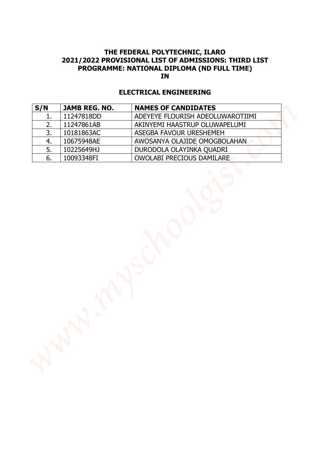### **ELECTRICAL ENGINEERING**

| 11247818DD<br>ADEYEYE FLOURISH ADEOLUWAROTIIMI<br>1.<br>2.<br>11247861AB<br>AKINYEMI HAASTRUP OLUWAPELUMI<br>3.<br>10181863AC<br>ASEGBA FAVOUR URESHEMEH<br>4.<br>10675948AE<br>AWOSANYA OLAJIDE OMOGBOLAHAN<br>5.<br>10225649HJ<br>DURODOLA OLAYINKA QUADRI<br>6.<br>OWOLABI PRECIOUS DAMILARE<br>10093348FI | S/N | JAMB REG. NO. | <b>NAMES OF CANDIDATES</b> |
|---------------------------------------------------------------------------------------------------------------------------------------------------------------------------------------------------------------------------------------------------------------------------------------------------------------|-----|---------------|----------------------------|
|                                                                                                                                                                                                                                                                                                               |     |               |                            |
|                                                                                                                                                                                                                                                                                                               |     |               |                            |
|                                                                                                                                                                                                                                                                                                               |     |               |                            |
|                                                                                                                                                                                                                                                                                                               |     |               |                            |
|                                                                                                                                                                                                                                                                                                               |     |               |                            |
|                                                                                                                                                                                                                                                                                                               |     |               |                            |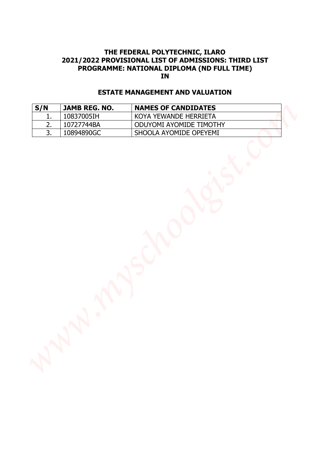### **ESTATE MANAGEMENT AND VALUATION**

|           |                                    | 2021/2022 PROVISIONAL LIST OF ADMISSIONS: THIRD LIST<br>PROGRAMME: NATIONAL DIPLOMA (ND FULL TIME)<br><b>IN</b> |  |
|-----------|------------------------------------|-----------------------------------------------------------------------------------------------------------------|--|
|           |                                    | <b>ESTATE MANAGEMENT AND VALUATION</b>                                                                          |  |
| S/N<br>1. | <b>JAMB REG. NO.</b><br>10837005IH | <b>NAMES OF CANDIDATES</b><br>KOYA YEWANDE HERRIETA                                                             |  |
| 2.        | 10727744BA                         | ODUYOMI AYOMIDE TIMOTHY                                                                                         |  |
| 3.        | 10894890GC                         | SHOOLA AYOMIDE OPEYEMI                                                                                          |  |
|           |                                    |                                                                                                                 |  |
|           |                                    | $\mathsf{S}$                                                                                                    |  |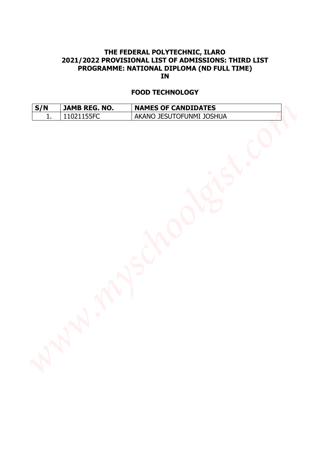### **FOOD TECHNOLOGY**

| S/N | <b>JAMB REG. NO.</b> | <b>NAMES OF CANDIDATES</b> |
|-----|----------------------|----------------------------|
|     | 11021155FC           | AKANO JESUTOFUNMI JOSHUA   |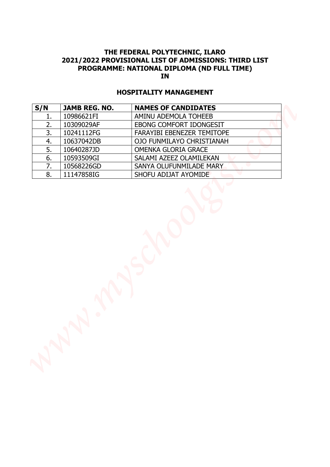### **HOSPITALITY MANAGEMENT**

| S/N<br>1. | <b>JAMB REG. NO.</b>     |                                                 |
|-----------|--------------------------|-------------------------------------------------|
|           |                          | <b>NAMES OF CANDIDATES</b>                      |
|           | 10986621FI               | AMINU ADEMOLA TOHEEB                            |
| 2.        | 10309029AF               | EBONG COMFORT IDONGESIT                         |
| 3.        | 10241112FG               | FARAYIBI EBENEZER TEMITOPE                      |
| 4.        | 10637042DB               | OJO FUNMILAYO CHRISTIANAH                       |
| 5.        | 10640287JD               | OMENKA GLORIA GRACE                             |
| 6.<br>7.  | 10593509GI               | SALAMI AZEEZ OLAMILEKAN                         |
| 8.        | 10568226GD<br>11147858IG | SANYA OLUFUNMILADE MARY<br>SHOFU ADIJAT AYOMIDE |
|           | N                        |                                                 |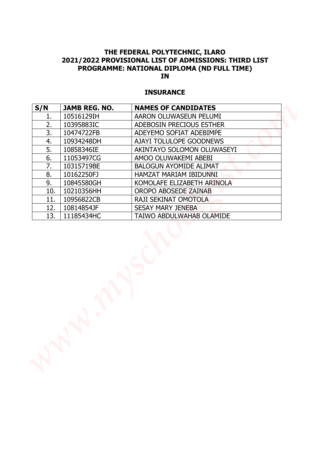### **INSURANCE**

|          |                          | <b>INSURANCE</b>                                   |
|----------|--------------------------|----------------------------------------------------|
| S/N      | <b>JAMB REG. NO.</b>     | <b>NAMES OF CANDIDATES</b>                         |
| 1.       | 10516129IH               | AARON OLUWASEUN PELUMI                             |
| 2.       | 10395883IC               | ADEBOSIN PRECIOUS ESTHER                           |
| 3.       | 10474722FB               | ADEYEMO SOFIAT ADEBIMPE                            |
| 4.<br>5. | 10934248DH<br>10858346IE | AJAYI TOLULOPE GOODNEWS                            |
| 6.       | 11053497CG               | AKINTAYO SOLOMON OLUWASEYI<br>AMOO OLUWAKEMI ABEBI |
| 7.       | 10315719BE               | <b>BALOGUN AYOMIDE ALIMAT</b>                      |
| 8.       | 10162250FJ               | HAMZAT MARIAM IBIDUNNI                             |
| 9.       | 10845580GH               | KOMOLAFE ELIZABETH ARINOLA                         |
| 10.      | 10210356HH               | OROPO ABOSEDE ZAINAB                               |
| 11.      | 10956822CB               | RAJI SEKINAT OMOTOLA                               |
| 12.      | 10814854JF               | <b>SESAY MARY JENEBA</b>                           |
| 13.      | 11185434HC               | TAIWO ABDULWAHAB OLAMIDE                           |
|          |                          |                                                    |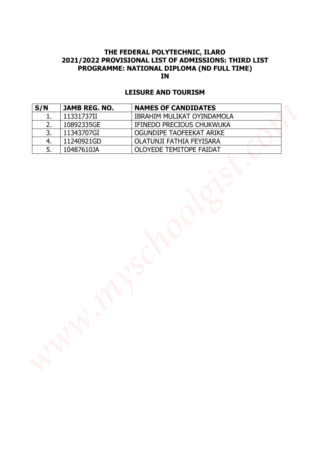### **LEISURE AND TOURISM**

|          |                          | <b>LEISURE AND TOURISM</b>                          |  |
|----------|--------------------------|-----------------------------------------------------|--|
| S/N      | JAMB REG. NO.            | <b>NAMES OF CANDIDATES</b>                          |  |
| 1.       | 11331737II               | IBRAHIM MULIKAT OYINDAMOLA                          |  |
| 2.       | 10892335GE               | IFINEDO PRECIOUS CHUKWUKA                           |  |
| 3.       | 11343707GI               | OGUNDIPE TAOFEEKAT ARIKE                            |  |
| 4.<br>5. | 11240921GD<br>10487610JA | OLATUNJI FATHIA FEYISARA<br>OLOYEDE TEMITOPE FAIDAT |  |
|          |                          |                                                     |  |
|          |                          | $\mathbb{S}$                                        |  |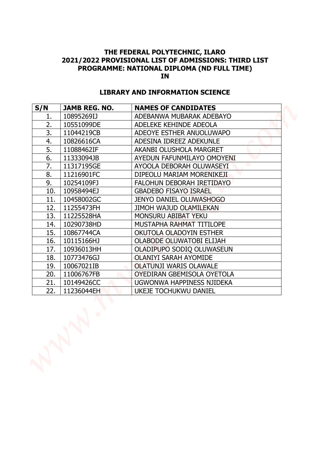### **LIBRARY AND INFORMATION SCIENCE**

| PROGRAMME: NATIONAL DIPLOMA (ND FULL TIME)<br><b>IN</b><br><b>LIBRARY AND INFORMATION SCIENCE</b> |                      |                                 |
|---------------------------------------------------------------------------------------------------|----------------------|---------------------------------|
| S/N                                                                                               | <b>JAMB REG. NO.</b> | <b>NAMES OF CANDIDATES</b>      |
| 1.                                                                                                | 10895269IJ           | ADEBANWA MUBARAK ADEBAYO        |
| 2.                                                                                                | 10551099DE           | ADELEKE KEHINDE ADEOLA          |
| 3.                                                                                                | 11044219CB           | ADEOYE ESTHER ANUOLUWAPO        |
| 4.                                                                                                | 10826616CA           | ADESINA IDREEZ ADEKUNLE         |
| 5.                                                                                                | 11088462IF           | AKANBI OLUSHOLA MARGRET         |
| 6.                                                                                                | 11333094JB           | AYEDUN FAFUNMILAYO OMOYENI      |
| 7.                                                                                                | 11317195GE           | AYOOLA DEBORAH OLUWASEYI        |
| 8.                                                                                                | 11216901FC           | DIPEOLU MARIAM MORENIKEJI       |
| 9.                                                                                                | 10254109FJ           | FALOHUN DEBORAH IRETIDAYO       |
| 10.                                                                                               | 10958494EJ           | <b>GBADEBO FISAYO ISRAEL</b>    |
| 11.                                                                                               | 10458002GC           | <b>JENYO DANIEL OLUWASHOGO</b>  |
| 12.                                                                                               | 11255473FH           | <b>JIMOH WAJUD OLAMILEKAN</b>   |
| 13.                                                                                               | 11225528HA           | MONSURU ABIBAT YEKU             |
| 14.                                                                                               | 10290738HD           | MUSTAPHA RAHMAT TITILOPE        |
| 15.                                                                                               | 10867744CA           | OKUTOLA OLADOYIN ESTHER         |
| 16.                                                                                               | 10115166HJ           | <b>OLABODE OLUWATOBI ELIJAH</b> |
| 17.                                                                                               | 10936013HH           | OLADIPUPO SODIQ OLUWASEUN       |
| 18.                                                                                               | 10773476GJ           | <b>OLANIYI SARAH AYOMIDE</b>    |
| 19.                                                                                               | 10067021IB           | <b>OLATUNJI WARIS OLAWALE</b>   |
| 20.                                                                                               | 11006767FB           | OYEDIRAN GBEMISOLA OYETOLA      |
| 21.                                                                                               | 10149426CC           | UGWONWA HAPPINESS NJIDEKA       |
| 22.                                                                                               | 11236044EH           | <b>UKEJE TOCHUKWU DANIEL</b>    |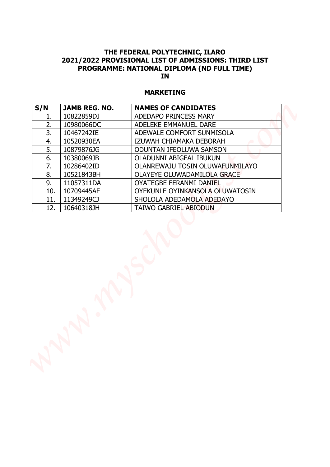### **MARKETING**

| 10822859DJ<br>ADEDAPO PRINCESS MARY<br>1.<br>2.<br>10980066DC<br>ADELEKE EMMANUEL DARE<br>3.<br>10467242IE<br>ADEWALE COMFORT SUNMISOLA<br>4.<br>IZUWAH CHIAMAKA DEBORAH<br>10520930EA<br>5.<br>10879876JG<br><b>ODUNTAN IFEOLUWA SAMSON</b><br>6.<br>10380069JB<br>OLADUNNI ABIGEAL IBUKUN<br>7.<br>10286402ID<br>OLANREWAJU TOSIN OLUWAFUNMILAYO<br>8.<br>10521843BH<br>OLAYEYE OLUWADAMILOLA GRACE<br>9.<br>11057311DA<br><b>OYATEGBE FERANMI DANIEL</b><br>10709445AF<br>OYEKUNLE OYINKANSOLA OLUWATOSIN<br>10.<br>11349249CJ<br>11.<br>SHOLOLA ADEDAMOLA ADEDAYO<br>12.<br>10640318JH<br><b>TAIWO GABRIEL ABIODUN</b> |     |                      | <b>MARKETING</b>           |
|----------------------------------------------------------------------------------------------------------------------------------------------------------------------------------------------------------------------------------------------------------------------------------------------------------------------------------------------------------------------------------------------------------------------------------------------------------------------------------------------------------------------------------------------------------------------------------------------------------------------------|-----|----------------------|----------------------------|
|                                                                                                                                                                                                                                                                                                                                                                                                                                                                                                                                                                                                                            | S/N | <b>JAMB REG. NO.</b> | <b>NAMES OF CANDIDATES</b> |
|                                                                                                                                                                                                                                                                                                                                                                                                                                                                                                                                                                                                                            |     |                      |                            |
|                                                                                                                                                                                                                                                                                                                                                                                                                                                                                                                                                                                                                            |     |                      |                            |
|                                                                                                                                                                                                                                                                                                                                                                                                                                                                                                                                                                                                                            |     |                      |                            |
|                                                                                                                                                                                                                                                                                                                                                                                                                                                                                                                                                                                                                            |     |                      |                            |
|                                                                                                                                                                                                                                                                                                                                                                                                                                                                                                                                                                                                                            |     |                      |                            |
|                                                                                                                                                                                                                                                                                                                                                                                                                                                                                                                                                                                                                            |     |                      |                            |
|                                                                                                                                                                                                                                                                                                                                                                                                                                                                                                                                                                                                                            |     |                      |                            |
|                                                                                                                                                                                                                                                                                                                                                                                                                                                                                                                                                                                                                            |     |                      |                            |
|                                                                                                                                                                                                                                                                                                                                                                                                                                                                                                                                                                                                                            |     |                      |                            |
|                                                                                                                                                                                                                                                                                                                                                                                                                                                                                                                                                                                                                            |     |                      |                            |
|                                                                                                                                                                                                                                                                                                                                                                                                                                                                                                                                                                                                                            |     |                      |                            |
|                                                                                                                                                                                                                                                                                                                                                                                                                                                                                                                                                                                                                            |     |                      |                            |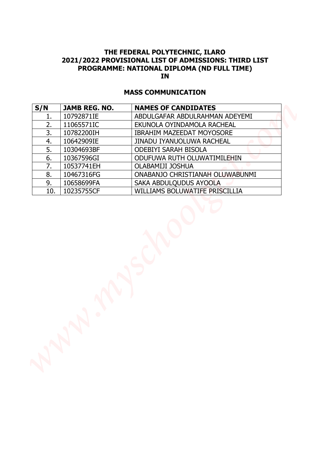### **MASS COMMUNICATION**

|          |                          | <b>MASS COMMUNICATION</b>                                     |
|----------|--------------------------|---------------------------------------------------------------|
| S/N      | <b>JAMB REG. NO.</b>     | <b>NAMES OF CANDIDATES</b>                                    |
| 1.       | 10792871IE               | ABDULGAFAR ABDULRAHMAN ADEYEMI                                |
| 2.       | 11065571IC               | EKUNOLA OYINDAMOLA RACHEAL                                    |
| 3.<br>4. | 10782200IH<br>10642909IE | <b>IBRAHIM MAZEEDAT MOYOSORE</b><br>JINADU IYANUOLUWA RACHEAL |
| 5.       | 10304693BF               | <b>ODEBIYI SARAH BISOLA</b>                                   |
| 6.       | 10367596GI               | ODUFUWA RUTH OLUWATIMILEHIN                                   |
| 7.       | 10537741EH               | OLABAMIJI JOSHUA                                              |
| 8.       | 10467316FG               | ONABANJO CHRISTIANAH OLUWABUNMI                               |
| 9.       | 10658699FA               | SAKA ABDULQUDUS AYOOLA                                        |
| 10.      | 10235755CF               | WILLIAMS BOLUWATIFE PRISCILLIA                                |
|          |                          |                                                               |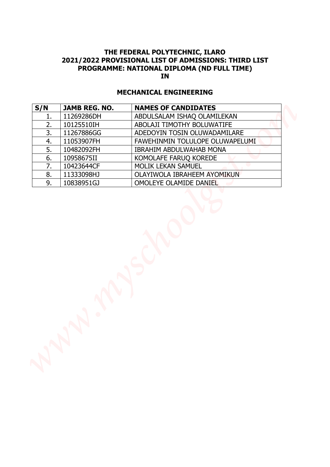### **MECHANICAL ENGINEERING**

| S/N      | <b>JAMB REG. NO.</b>     | <b>NAMES OF CANDIDATES</b>                            |
|----------|--------------------------|-------------------------------------------------------|
| 1.       | 11269286DH               | ABDULSALAM ISHAQ OLAMILEKAN                           |
| 2.       | 10125510IH               | ABOLAJI TIMOTHY BOLUWATIFE                            |
| 3.       | 11267886GG               | ADEDOYIN TOSIN OLUWADAMILARE                          |
| 4.       | 11053907FH               | FAWEHINMIN TOLULOPE OLUWAPELUMI                       |
| 5.       | 10482092FH               | <b>IBRAHIM ABDULWAHAB MONA</b>                        |
| 6.       | 10958675II               | KOMOLAFE FARUQ KOREDE                                 |
| 7.       | 10423644CF               | MOLIK LEKAN SAMUEL                                    |
| 8.<br>9. | 11333098HJ<br>10838951GJ | OLAYIWOLA IBRAHEEM AYOMIKUN<br>OMOLEYE OLAMIDE DANIEL |
|          |                          |                                                       |
|          |                          |                                                       |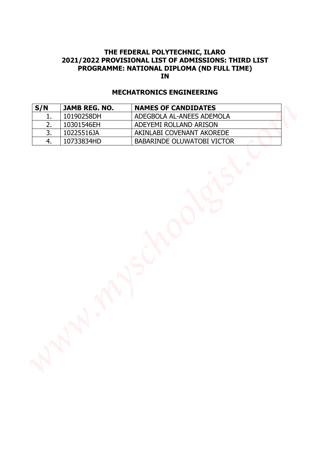### **MECHATRONICS ENGINEERING**

| S/N      | <b>JAMB REG. NO.</b>     | <b>NAMES OF CANDIDATES</b>                              |  |
|----------|--------------------------|---------------------------------------------------------|--|
| 1.       | 10190258DH               | ADEGBOLA AL-ANEES ADEMOLA                               |  |
| 2.       | 10301546EH               | ADEYEMI ROLLAND ARISON                                  |  |
| 3.<br>4. | 10225516JA<br>10733834HD | AKINLABI COVENANT AKOREDE<br>BABARINDE OLUWATOBI VICTOR |  |
|          |                          |                                                         |  |
|          |                          |                                                         |  |
|          |                          | $\mathsf{S}$                                            |  |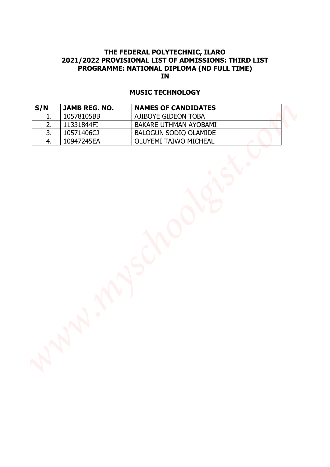### **MUSIC TECHNOLOGY**

| <b>IN</b><br><b>MUSIC TECHNOLOGY</b> |               |                              |  |
|--------------------------------------|---------------|------------------------------|--|
| S/N                                  | JAMB REG. NO. | <b>NAMES OF CANDIDATES</b>   |  |
| 1.                                   | 10578105BB    | AJIBOYE GIDEON TOBA          |  |
| 2.                                   | 11331844FI    | BAKARE UTHMAN AYOBAMI        |  |
| 3.                                   | 10571406CJ    | BALOGUN SODIQ OLAMIDE        |  |
| 4.                                   | 10947245EA    | <b>OLUYEMI TAIWO MICHEAL</b> |  |
|                                      |               | $\mathsf{S}$                 |  |
|                                      |               |                              |  |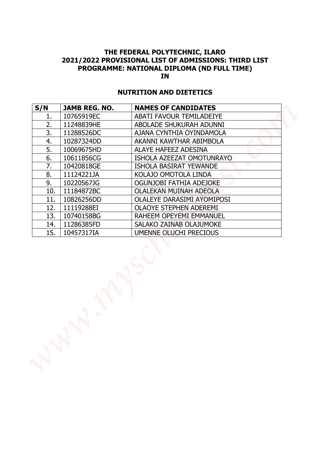### **NUTRITION AND DIETETICS**

| S/N | <b>JAMB REG. NO.</b> | <b>NUTRITION AND DIETETICS</b><br><b>NAMES OF CANDIDATES</b> |
|-----|----------------------|--------------------------------------------------------------|
| 1.  | 10765919EC           | ABATI FAVOUR TEMILADEIYE                                     |
| 2.  | 11248839HE           | ABOLADE SHUKURAH ADUNNI                                      |
| 3.  | 11288526DC           | AJANA CYNTHIA OYINDAMOLA                                     |
| 4.  | 10287324DD           | AKANNI KAWTHAR ABIMBOLA                                      |
| 5.  | 10069675HD           | ALAYE HAFEEZ ADESINA                                         |
| 6.  | 10611856CG           | ISHOLA AZEEZAT OMOTUNRAYO                                    |
| 7.  | 10420818GE           | <b>ISHOLA BASIRAT YEWANDE</b>                                |
| 8.  | 11124221JA           | KOLAJO OMOTOLA LINDA                                         |
| 9.  | 10220567JG           | OGUNJOBI FATHIA ADEJOKE                                      |
| 10. | 11184872BC           | <b>OLALEKAN MUINAH ADEOLA</b>                                |
| 11. | 10826256DD           | <b>OLALEYE DARASIMI AYOMIPOSI</b>                            |
| 12. | 11119288EI           | <b>OLAOYE STEPHEN ADEREMI</b>                                |
| 13. | 10740158BG           | RAHEEM OPEYEMI EMMANUEL                                      |
| 14. | 11286385FD           | <b>SALAKO ZAINAB OLAJUMOKE</b>                               |
| 15. | 10457317IA           | UMENNE OLUCHI PRECIOUS                                       |
|     |                      |                                                              |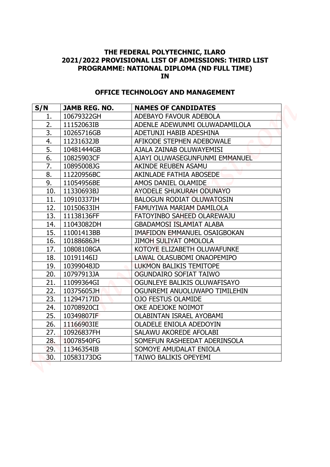### **OFFICE TECHNOLOGY AND MANAGEMENT**

| THE FEDERAL POLYTECHNIC, ILARO<br>2021/2022 PROVISIONAL LIST OF ADMISSIONS: THIRD LIST<br>PROGRAMME: NATIONAL DIPLOMA (ND FULL TIME)<br><b>IN</b><br><b>OFFICE TECHNOLOGY AND MANAGEMENT</b> |                      |                                     |
|----------------------------------------------------------------------------------------------------------------------------------------------------------------------------------------------|----------------------|-------------------------------------|
| S/N                                                                                                                                                                                          | <b>JAMB REG. NO.</b> | <b>NAMES OF CANDIDATES</b>          |
| 1.                                                                                                                                                                                           | 10679322GH           | ADEBAYO FAVOUR ADEBOLA              |
| 2.                                                                                                                                                                                           | 11152063IB           | ADENLE ADEWUNMI OLUWADAMILOLA       |
| 3.                                                                                                                                                                                           | 10265716GB           | ADETUNJI HABIB ADESHINA             |
| 4.                                                                                                                                                                                           | 11231632JB           | AFIKODE STEPHEN ADEBOWALE           |
| 5.                                                                                                                                                                                           | 10481444GB           | AJALA ZAINAB OLUWAYEMISI            |
| 6.                                                                                                                                                                                           | 10825903CF           | AJAYI OLUWASEGUNFUNMI EMMANUEL      |
| 7.                                                                                                                                                                                           | 10895008JG           | AKINDE REUBEN ASAMU                 |
| 8.                                                                                                                                                                                           | 11220956BC           | AKINLADE FATHIA ABOSEDE             |
| 9.                                                                                                                                                                                           | 11054956BE           | AMOS DANIEL OLAMIDE                 |
| 10.                                                                                                                                                                                          | 11330693BJ           | AYODELE SHUKURAH ODUNAYO            |
| 11.                                                                                                                                                                                          | 10910337IH           | <b>BALOGUN RODIAT OLUWATOSIN</b>    |
| 12.                                                                                                                                                                                          | 10150633IH           | FAMUYIWA MARIAM DAMILOLA            |
| 13.                                                                                                                                                                                          | 11138136FF           | FATOYINBO SAHEED OLAREWAJU          |
| 14.                                                                                                                                                                                          | 11043082DH           | <b>GBADAMOSI ISLAMIAT ALABA</b>     |
| 15.                                                                                                                                                                                          | 11001413BB           | <b>IMAFIDON EMMANUEL OSAIGBOKAN</b> |
| 16.                                                                                                                                                                                          | 10188686JH           | <b>JIMOH SULIYAT OMOLOLA</b>        |
| 17.                                                                                                                                                                                          | 10808108GA           | KOTOYE ELIZABETH OLUWAFUNKE         |
| 18.                                                                                                                                                                                          | 10191146IJ           | LAWAL OLASUBOMI ONAOPEMIPO          |
| 19.                                                                                                                                                                                          | 10399048JD           | <b>LUKMON BALIKIS TEMITOPE</b>      |
| 20.                                                                                                                                                                                          | 10797913JA           | OGUNDAIRO SOFIAT TAIWO              |
| 21.                                                                                                                                                                                          | 11099364GI           | OGUNLEYE BALIKIS OLUWAFISAYO        |
| 22.                                                                                                                                                                                          | 10375605JH           | OGUNREMI ANUOLUWAPO TIMILEHIN       |
| 23.                                                                                                                                                                                          | 11294717ID           | <b>OJO FESTUS OLAMIDE</b>           |
| 24.                                                                                                                                                                                          | 10708920CI           | OKE ADEJOKE NOIMOT                  |
| 25.                                                                                                                                                                                          | 10349807IF           | <b>OLABINTAN ISRAEL AYOBAMI</b>     |
| 26.                                                                                                                                                                                          | 11166903IE           | OLADELE ENIOLA ADEDOYIN             |
| 27.                                                                                                                                                                                          | 10926837FH           | SALAWU AKOREDE AFOLABI              |
| 28.                                                                                                                                                                                          | 10078540FG           | SOMEFUN RASHEEDAT ADERINSOLA        |
| 29.                                                                                                                                                                                          | 11346354IB           | SOMOYE AMUDALAT ENIOLA              |
| 30.                                                                                                                                                                                          | 10583173DG           | <b>TAIWO BALIKIS OPEYEMI</b>        |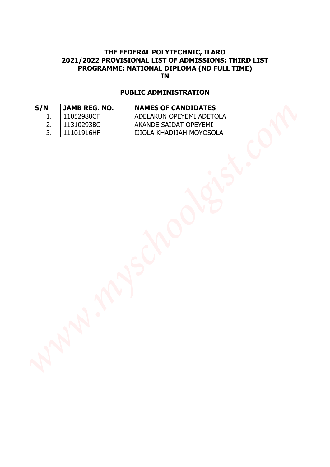### **PUBLIC ADMINISTRATION**

| 2021/2022 PROVISIONAL LIST OF ADMISSIONS: THIRD LIST<br>PROGRAMME: NATIONAL DIPLOMA (ND FULL TIME)<br><b>IN</b> |                          |                                                   |  |
|-----------------------------------------------------------------------------------------------------------------|--------------------------|---------------------------------------------------|--|
| <b>PUBLIC ADMINISTRATION</b>                                                                                    |                          |                                                   |  |
| S/N                                                                                                             | JAMB REG. NO.            | <b>NAMES OF CANDIDATES</b>                        |  |
| 1.<br>2.                                                                                                        | 11052980CF<br>11310293BC | ADELAKUN OPEYEMI ADETOLA<br>AKANDE SAIDAT OPEYEMI |  |
| 3.                                                                                                              | 11101916HF               | IJIOLA KHADIJAH MOYOSOLA                          |  |
|                                                                                                                 |                          |                                                   |  |
|                                                                                                                 |                          | <b>MASY</b>                                       |  |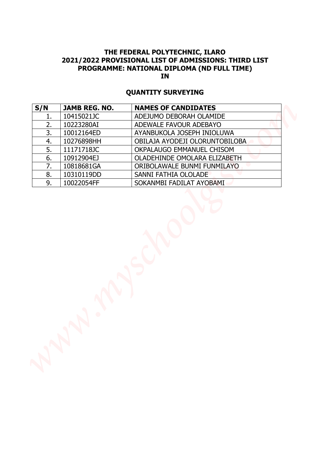### **QUANTITY SURVEYING**

| S/N      | JAMB REG. NO.            | <b>NAMES OF CANDIDATES</b>                       |
|----------|--------------------------|--------------------------------------------------|
| 1.       | 10415021JC               | ADEJUMO DEBORAH OLAMIDE                          |
| 2.       | 10223280AI               | ADEWALE FAVOUR ADEBAYO                           |
| 3.       | 10012164ED               | AYANBUKOLA JOSEPH INIOLUWA                       |
| 4.       | 10276898HH               | OBILAJA AYODEJI OLORUNTOBILOBA                   |
| 5.       | 11171718JC               | OKPALAUGO EMMANUEL CHISOM                        |
| 6.       | 10912904EJ               | OLADEHINDE OMOLARA ELIZABETH                     |
| 7.       | 10818681GA               | ORIBOLAWALE BUNMI FUNMILAYO                      |
| 8.<br>9. | 10310119DD<br>10022054FF | SANNI FATHIA OLOLADE<br>SOKANMBI FADILAT AYOBAMI |
|          |                          |                                                  |
|          |                          |                                                  |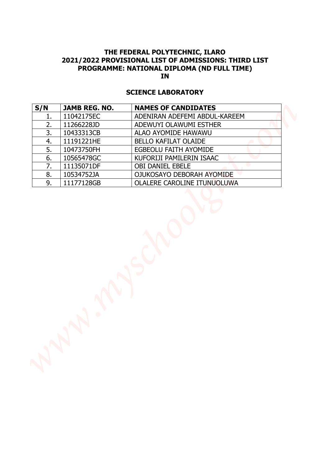### **SCIENCE LABORATORY**

| S/N<br>1.<br>2. |            | <b>NAMES OF CANDIDATES</b>    |
|-----------------|------------|-------------------------------|
|                 | 11042175EC | ADENIRAN ADEFEMI ABDUL-KAREEM |
|                 | 11266228JD | ADEWUYI OLAWUMI ESTHER        |
| 3.              | 10433313CB | ALAO AYOMIDE HAWAWU           |
| 4.              | 11191221HE | <b>BELLO KAFILAT OLAIDE</b>   |
| 5.              | 10473750FH | EGBEOLU FAITH AYOMIDE         |
| 6.              | 10565478GC | KUFORIJI PAMILERIN ISAAC      |
| 7.              | 11135071DF | <b>OBI DANIEL EBELE</b>       |
| 8.              | 10534752JA | OJUKOSAYO DEBORAH AYOMIDE     |
| 9.              | 11177128GB | OLALERE CAROLINE ITUNUOLUWA   |
|                 |            |                               |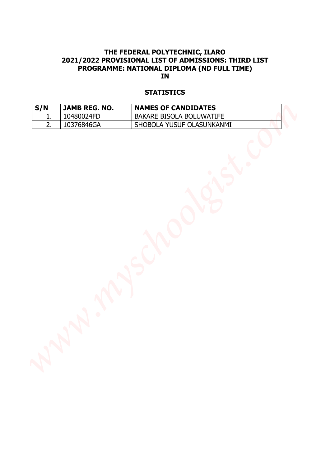### **STATISTICS**

| <b>IN</b><br><b>STATISTICS</b> |               |                            |  |
|--------------------------------|---------------|----------------------------|--|
| S/N                            | JAMB REG. NO. | <b>NAMES OF CANDIDATES</b> |  |
| 1.                             | 10480024FD    | BAKARE BISOLA BOLUWATIFE   |  |
| 2.                             | 10376846GA    | SHOBOLA YUSUF OLASUNKANMI  |  |
|                                |               |                            |  |
|                                |               | ANSY                       |  |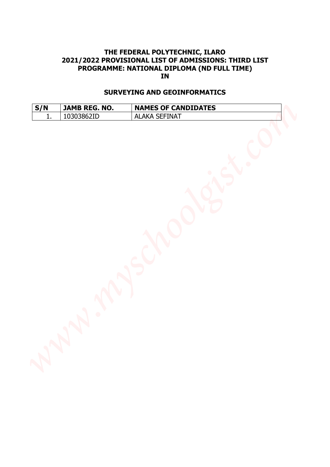# **THE FEDERAL POLYTECHNIC, ILARO 2021/2022 PROVISIONAL LIST OF ADMISSIONS: THIRD LIST PROGRAMME: NATIONAL DIPLOMA (ND FULL TIME) IN PROGRAMME: NATIONAL DEVICENING, ILARO<br>
PROGRAMME: NATIONAL DEPLOMA (ND FULL TIME)<br>
SURVEYING AND BREG. NO. NAMES OF CANDIDATES<br>
SURVEYING AND BREG. NO. NAMES OF CANDIDATES<br>
1. 1030386710<br>
1. 1040386710<br>
1. 1040386710<br>
1.**

### **SURVEYING AND GEOINFORMATICS**

| S/N           | <b>JAMB REG. NO.</b> | <b>NAMES OF CANDIDATES</b> |
|---------------|----------------------|----------------------------|
| <u>. на с</u> | 10303862ID           | <b>ALAKA SEFINAT</b>       |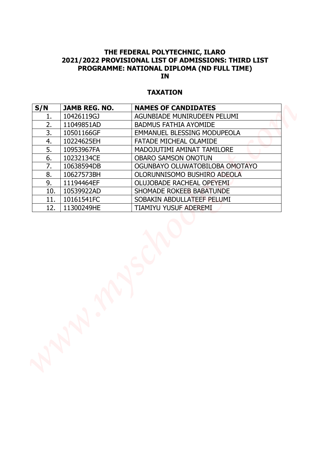### **TAXATION**

| <b>TAXATION</b> |                      |                                    |
|-----------------|----------------------|------------------------------------|
| S/N             | <b>JAMB REG. NO.</b> | <b>NAMES OF CANDIDATES</b>         |
| 1.              | 10426119GJ           | AGUNBIADE MUNIRUDEEN PELUMI        |
| 2.              | 11049851AD           | <b>BADMUS FATHIA AYOMIDE</b>       |
| 3.              | 10501166GF           | <b>EMMANUEL BLESSING MODUPEOLA</b> |
| 4.              | 10224625EH           | FATADE MICHEAL OLAMIDE             |
| 5.              | 10953967FA           | MADOJUTIMI AMINAT TAMILORE         |
| 6.              | 10232134CE           | <b>OBARO SAMSON ONOTUN</b>         |
| 7.              | 10638594DB           | OGUNBAYO OLUWATOBILOBA OMOTAYO     |
| 8.              | 10627573BH           | OLORUNNISOMO BUSHIRO ADEOLA        |
| 9.              | 11194464EF           | OLUJOBADE RACHEAL OPEYEMI          |
| 10.             | 10539922AD           | SHOMADE ROKEEB BABATUNDE           |
| 11.             | 10161541FC           | SOBAKIN ABDULLATEEF PELUMI         |
| 12.             | 11300249HE           | TIAMIYU YUSUF ADEREMI              |
|                 |                      |                                    |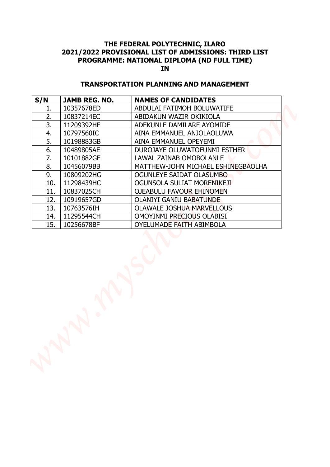### **TRANSPORTATION PLANNING AND MANAGEMENT**

| S/N | <b>JAMB REG. NO.</b> | <b>NAMES OF CANDIDATES</b>          |
|-----|----------------------|-------------------------------------|
| 1.  | 10357678ED           | ABDULAI FATIMOH BOLUWATIFE          |
| 2.  | 10837214EC           | ABIDAKUN WAZIR OKIKIOLA             |
| 3.  | 11209392HF           | ADEKUNLE DAMILARE AYOMIDE           |
| 4.  | 10797560IC           | AINA EMMANUEL ANJOLAOLUWA           |
| 5.  | 10198883GB           | AINA EMMANUEL OPEYEMI               |
| 6.  | 10489805AE           | <b>DUROJAYE OLUWATOFUNMI ESTHER</b> |
| 7.  | 10101882GE           | <b>LAWAL ZAINAB OMOBOLANLE</b>      |
| 8.  | 10456079BB           | MATTHEW-JOHN MICHAEL ESHINEGBAOLHA  |
| 9.  | 10809202HG           | OGUNLEYE SAIDAT OLASUMBO            |
| 10. | 11298439HC           | OGUNSOLA SULIAT MORENIKEJI          |
| 11. | 10837025CH           | OJEABULU FAVOUR EHINOMEN            |
| 12. | 10919657GD           | <b>OLANIYI GANIU BABATUNDE</b>      |
| 13. | 10763576IH           | <b>OLAWALE JOSHUA MARVELLOUS</b>    |
| 14. | 11295544CH           | OMOYINMI PRECIOUS OLABISI           |
| 15. | 10256678BF           | OYELUMADE FAITH ABIMBOLA            |
|     |                      |                                     |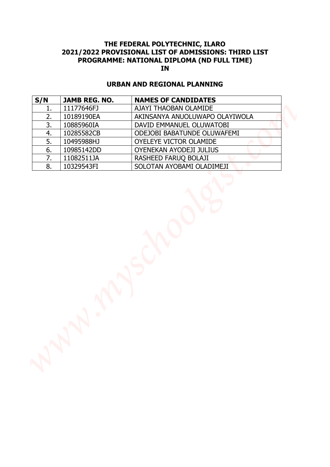### **URBAN AND REGIONAL PLANNING**

| S/N | <b>JAMB REG. NO.</b> | <b>URBAN AND REGIONAL PLANNING</b><br><b>NAMES OF CANDIDATES</b> |
|-----|----------------------|------------------------------------------------------------------|
| 1.  | 11177646FJ           | AJAYI THAOBAN OLAMIDE                                            |
| 2.  | 10189190EA           | AKINSANYA ANUOLUWAPO OLAYIWOLA                                   |
| 3.  | 10885960IA           | DAVID EMMANUEL OLUWATOBI                                         |
| 4.  | 10285582CB           | ODEJOBI BABATUNDE OLUWAFEMI                                      |
| 5.  | 10495988HJ           | OYELEYE VICTOR OLAMIDE                                           |
| 6.  | 10985142DD           | OYENEKAN AYODEJI JULIUS                                          |
| 7.  | 11082511JA           | RASHEED FARUQ BOLAJI                                             |
| 8.  | 10329543FI           | SOLOTAN AYOBAMI OLADIMEJI                                        |
|     |                      |                                                                  |